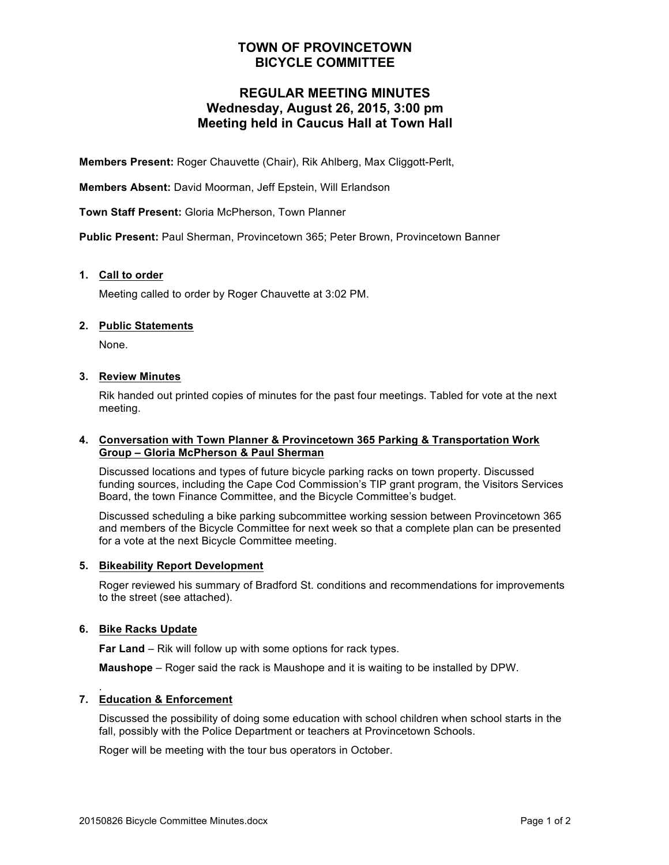## **TOWN OF PROVINCETOWN BICYCLE COMMITTEE**

## **REGULAR MEETING MINUTES Wednesday, August 26, 2015, 3:00 pm Meeting held in Caucus Hall at Town Hall**

**Members Present:** Roger Chauvette (Chair), Rik Ahlberg, Max Cliggott-Perlt,

**Members Absent:** David Moorman, Jeff Epstein, Will Erlandson

**Town Staff Present:** Gloria McPherson, Town Planner

**Public Present:** Paul Sherman, Provincetown 365; Peter Brown, Provincetown Banner

## **1. Call to order**

Meeting called to order by Roger Chauvette at 3:02 PM.

## **2. Public Statements**

None.

## **3. Review Minutes**

Rik handed out printed copies of minutes for the past four meetings. Tabled for vote at the next meeting.

#### **4. Conversation with Town Planner & Provincetown 365 Parking & Transportation Work Group – Gloria McPherson & Paul Sherman**

Discussed locations and types of future bicycle parking racks on town property. Discussed funding sources, including the Cape Cod Commission's TIP grant program, the Visitors Services Board, the town Finance Committee, and the Bicycle Committee's budget.

Discussed scheduling a bike parking subcommittee working session between Provincetown 365 and members of the Bicycle Committee for next week so that a complete plan can be presented for a vote at the next Bicycle Committee meeting.

## **5. Bikeability Report Development**

Roger reviewed his summary of Bradford St. conditions and recommendations for improvements to the street (see attached).

## **6. Bike Racks Update**

**Far Land** – Rik will follow up with some options for rack types.

**Maushope** – Roger said the rack is Maushope and it is waiting to be installed by DPW.

#### . **7. Education & Enforcement**

Discussed the possibility of doing some education with school children when school starts in the fall, possibly with the Police Department or teachers at Provincetown Schools.

Roger will be meeting with the tour bus operators in October.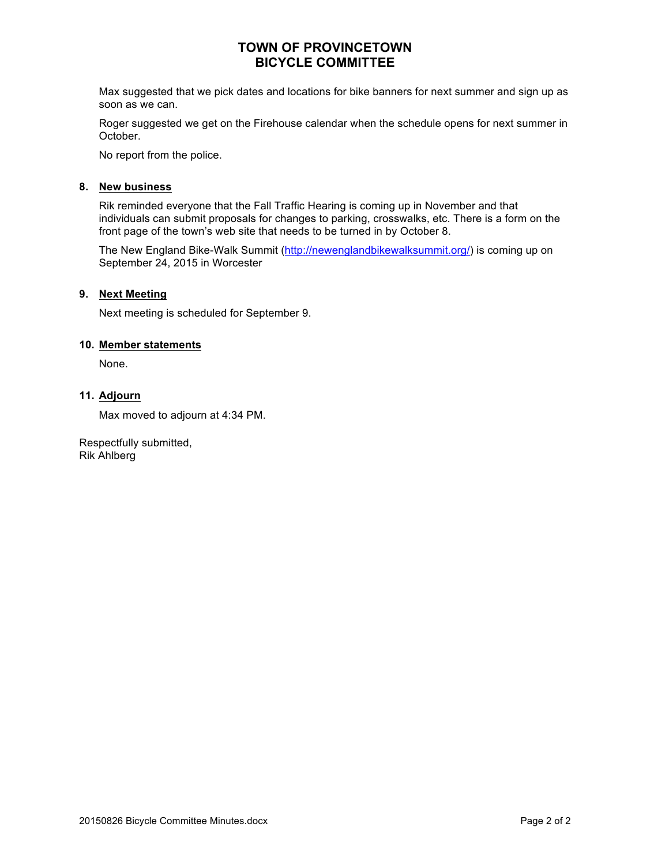## **TOWN OF PROVINCETOWN BICYCLE COMMITTEE**

Max suggested that we pick dates and locations for bike banners for next summer and sign up as soon as we can.

Roger suggested we get on the Firehouse calendar when the schedule opens for next summer in October.

No report from the police.

## **8. New business**

Rik reminded everyone that the Fall Traffic Hearing is coming up in November and that individuals can submit proposals for changes to parking, crosswalks, etc. There is a form on the front page of the town's web site that needs to be turned in by October 8.

The New England Bike-Walk Summit (http://newenglandbikewalksummit.org/) is coming up on September 24, 2015 in Worcester

## **9. Next Meeting**

Next meeting is scheduled for September 9.

## **10. Member statements**

None.

## **11. Adjourn**

Max moved to adjourn at 4:34 PM.

Respectfully submitted, Rik Ahlberg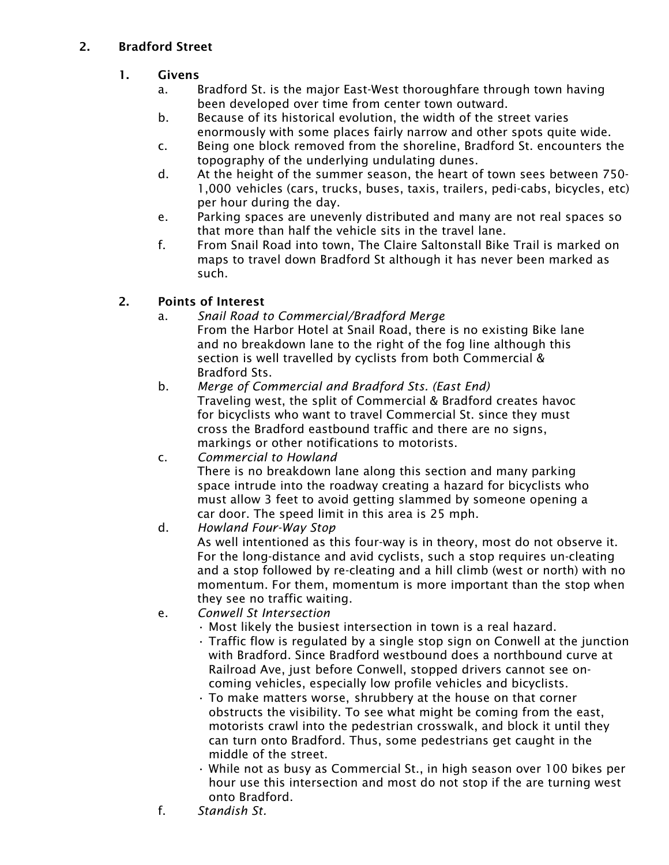# 2. Bradford Street

- 1. Givens
	- a. Bradford St. is the major East-West thoroughfare through town having been developed over time from center town outward.
	- b. Because of its historical evolution, the width of the street varies enormously with some places fairly narrow and other spots quite wide.
	- c. Being one block removed from the shoreline, Bradford St. encounters the topography of the underlying undulating dunes.
	- d. At the height of the summer season, the heart of town sees between 750- 1,000 vehicles (cars, trucks, buses, taxis, trailers, pedi-cabs, bicycles, etc) per hour during the day.
	- e. Parking spaces are unevenly distributed and many are not real spaces so that more than half the vehicle sits in the travel lane.
	- f. From Snail Road into town, The Claire Saltonstall Bike Trail is marked on maps to travel down Bradford St although it has never been marked as such.

# 2. Points of Interest

- a. *Snail Road to Commercial/Bradford Merge* From the Harbor Hotel at Snail Road, there is no existing Bike lane and no breakdown lane to the right of the fog line although this section is well travelled by cyclists from both Commercial & Bradford Sts.
- b. *Merge of Commercial and Bradford Sts. (East End)* Traveling west, the split of Commercial & Bradford creates havoc for bicyclists who want to travel Commercial St. since they must cross the Bradford eastbound traffic and there are no signs, markings or other notifications to motorists.
- c. *Commercial to Howland* There is no breakdown lane along this section and many parking space intrude into the roadway creating a hazard for bicyclists who must allow 3 feet to avoid getting slammed by someone opening a car door. The speed limit in this area is 25 mph.
- d. *Howland Four-Way Stop* As well intentioned as this four-way is in theory, most do not observe it. For the long-distance and avid cyclists, such a stop requires un-cleating and a stop followed by re-cleating and a hill climb (west or north) with no momentum. For them, momentum is more important than the stop when they see no traffic waiting.

# e. *Conwell St Intersection*

- Most likely the busiest intersection in town is a real hazard.
- Traffic flow is regulated by a single stop sign on Conwell at the junction with Bradford. Since Bradford westbound does a northbound curve at Railroad Ave, just before Conwell, stopped drivers cannot see on coming vehicles, especially low profile vehicles and bicyclists.
- To make matters worse, shrubbery at the house on that corner obstructs the visibility. To see what might be coming from the east, motorists crawl into the pedestrian crosswalk, and block it until they can turn onto Bradford. Thus, some pedestrians get caught in the middle of the street.
- While not as busy as Commercial St., in high season over 100 bikes per hour use this intersection and most do not stop if the are turning west onto Bradford.
- f. *Standish St.*